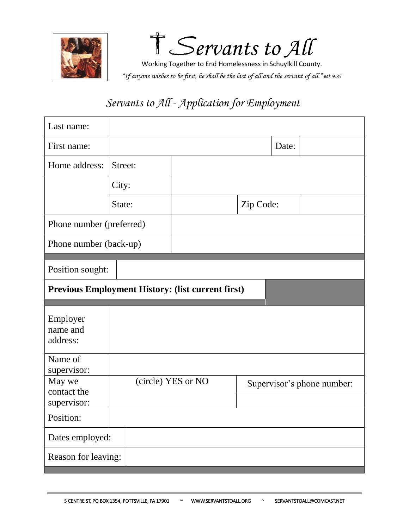

S*ervants to All*

Working Together to End Homelessness in Schuylkill County. *"If anyone wishes to be first, he shall be the last of all and the servant of all." Mk 9:35*

| Last name:                           |         |                                                          |                            |       |  |
|--------------------------------------|---------|----------------------------------------------------------|----------------------------|-------|--|
| First name:                          |         |                                                          |                            | Date: |  |
| Home address:                        | Street: |                                                          |                            |       |  |
|                                      | City:   |                                                          |                            |       |  |
|                                      | State:  |                                                          | Zip Code:                  |       |  |
| Phone number (preferred)             |         |                                                          |                            |       |  |
| Phone number (back-up)               |         |                                                          |                            |       |  |
| Position sought:                     |         |                                                          |                            |       |  |
|                                      |         | <b>Previous Employment History: (list current first)</b> |                            |       |  |
| Employer<br>name and<br>address:     |         |                                                          |                            |       |  |
| Name of<br>supervisor:               |         |                                                          |                            |       |  |
| May we<br>contact the<br>supervisor: |         | (circle) YES or NO                                       | Supervisor's phone number: |       |  |
| Position:                            |         |                                                          |                            |       |  |
| Dates employed:                      |         |                                                          |                            |       |  |
| Reason for leaving:                  |         |                                                          |                            |       |  |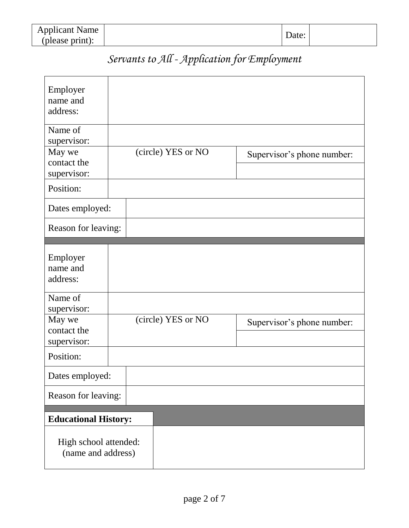| <b>Applicant Name</b> |       |  |
|-----------------------|-------|--|
| (please print):       | Date: |  |

| Employer<br>name and<br>address:                |  |  |                    |  |                            |
|-------------------------------------------------|--|--|--------------------|--|----------------------------|
| Name of<br>supervisor:<br>May we<br>contact the |  |  | (circle) YES or NO |  | Supervisor's phone number: |
| supervisor:                                     |  |  |                    |  |                            |
| Position:                                       |  |  |                    |  |                            |
| Dates employed:                                 |  |  |                    |  |                            |
| Reason for leaving:                             |  |  |                    |  |                            |
|                                                 |  |  |                    |  |                            |
| Employer<br>name and                            |  |  |                    |  |                            |
| address:                                        |  |  |                    |  |                            |
| Name of<br>supervisor:                          |  |  |                    |  |                            |
| May we<br>contact the                           |  |  | (circle) YES or NO |  | Supervisor's phone number: |
| supervisor:                                     |  |  |                    |  |                            |
| Position:                                       |  |  |                    |  |                            |
| Dates employed:                                 |  |  |                    |  |                            |
| Reason for leaving:                             |  |  |                    |  |                            |
| <b>Educational History:</b>                     |  |  |                    |  |                            |
| High school attended:<br>(name and address)     |  |  |                    |  |                            |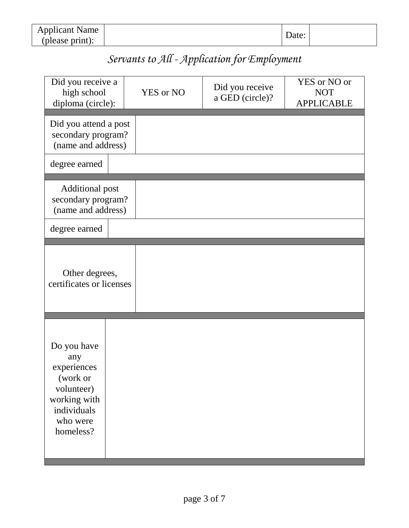| <b>Applicant Name</b> |       |  |
|-----------------------|-------|--|
| (please print):       | Date: |  |

| Did you receive a<br>high school<br>diploma (circle):                                                               | <b>YES</b> or NO | Did you receive<br>a GED (circle)? | YES or NO or<br><b>NOT</b><br><b>APPLICABLE</b> |
|---------------------------------------------------------------------------------------------------------------------|------------------|------------------------------------|-------------------------------------------------|
| Did you attend a post<br>secondary program?<br>(name and address)                                                   |                  |                                    |                                                 |
| degree earned                                                                                                       |                  |                                    |                                                 |
| <b>Additional post</b><br>secondary program?<br>(name and address)                                                  |                  |                                    |                                                 |
| degree earned                                                                                                       |                  |                                    |                                                 |
| Other degrees,<br>certificates or licenses                                                                          |                  |                                    |                                                 |
| Do you have<br>any<br>experiences<br>(work or<br>volunteer)<br>working with<br>individuals<br>who were<br>homeless? |                  |                                    |                                                 |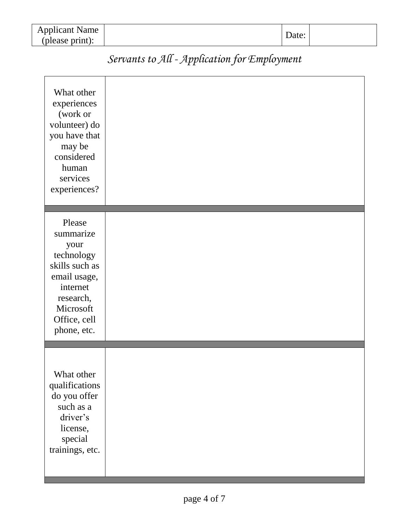| <b>Applicant Name</b> |       |  |
|-----------------------|-------|--|
| (please print):       | Date: |  |

| Servants to All - Application for Employment |  |  |
|----------------------------------------------|--|--|
|                                              |  |  |

| What other<br>experiences<br>(work or<br>volunteer) do<br>you have that<br>may be<br>considered<br>human<br>services<br>experiences?             |  |
|--------------------------------------------------------------------------------------------------------------------------------------------------|--|
| Please<br>summarize<br>your<br>technology<br>skills such as<br>email usage,<br>internet<br>research,<br>Microsoft<br>Office, cell<br>phone, etc. |  |
| What other<br>qualifications<br>do you offer<br>such as a<br>driver's<br>license,<br>special<br>trainings, etc.                                  |  |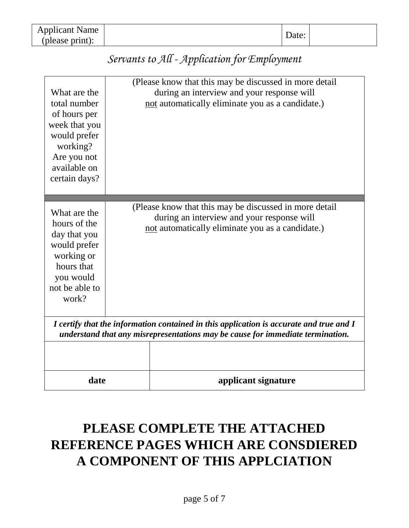| <b>Applicant Name</b> | Date: |  |
|-----------------------|-------|--|
| (please print):       |       |  |

| What are the<br>total number<br>of hours per<br>week that you<br>would prefer<br>working?<br>Are you not<br>available on<br>certain days?                                 |  | (Please know that this may be discussed in more detail)<br>during an interview and your response will<br>not automatically eliminate you as a candidate.) |  |  |
|---------------------------------------------------------------------------------------------------------------------------------------------------------------------------|--|-----------------------------------------------------------------------------------------------------------------------------------------------------------|--|--|
| What are the<br>hours of the<br>day that you<br>would prefer<br>working or<br>hours that<br>you would<br>not be able to<br>work?                                          |  | (Please know that this may be discussed in more detail<br>during an interview and your response will<br>not automatically eliminate you as a candidate.)  |  |  |
| I certify that the information contained in this application is accurate and true and I<br>understand that any misrepresentations may be cause for immediate termination. |  |                                                                                                                                                           |  |  |
| date                                                                                                                                                                      |  | applicant signature                                                                                                                                       |  |  |

# **PLEASE COMPLETE THE ATTACHED REFERENCE PAGES WHICH ARE CONSDIERED A COMPONENT OF THIS APPLCIATION**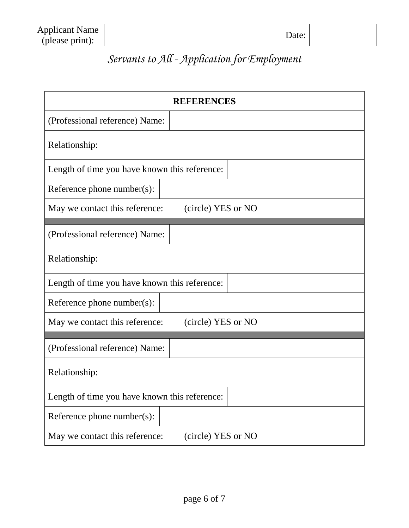| <b>Applicant Name</b> | Date: |  |
|-----------------------|-------|--|
| (please print):       |       |  |

| <b>REFERENCES</b>                                    |  |  |  |  |
|------------------------------------------------------|--|--|--|--|
| (Professional reference) Name:                       |  |  |  |  |
| Relationship:                                        |  |  |  |  |
| Length of time you have known this reference:        |  |  |  |  |
| Reference phone number(s):                           |  |  |  |  |
| (circle) YES or NO<br>May we contact this reference: |  |  |  |  |
| (Professional reference) Name:                       |  |  |  |  |
| Relationship:                                        |  |  |  |  |
| Length of time you have known this reference:        |  |  |  |  |
| Reference phone number(s):                           |  |  |  |  |
| (circle) YES or NO<br>May we contact this reference: |  |  |  |  |
| (Professional reference) Name:                       |  |  |  |  |
| Relationship:                                        |  |  |  |  |
| Length of time you have known this reference:        |  |  |  |  |
| Reference phone number(s):                           |  |  |  |  |
| May we contact this reference:<br>(circle) YES or NO |  |  |  |  |